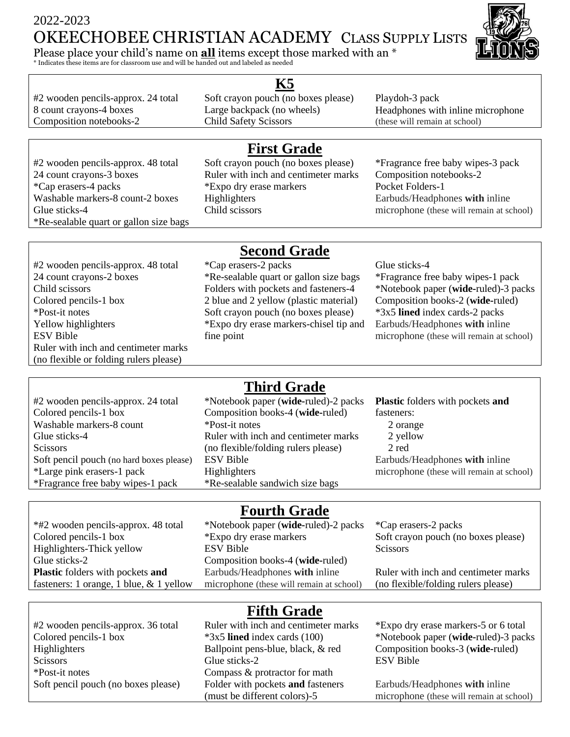# 2022-2023 OKEECHOBEE CHRISTIAN ACADEMY CLASS SUPPLY LISTS

Please place your child's name on **all** items except those marked with an \*

\* Indicates these items are for classroom use and will be handed out and labeled as needed

#2 wooden pencils-approx. 24 total Soft crayon pouch (no boxes please) Playdoh-3 pack

#### **K5**

Composition notebooks-2 Child Safety Scissors (these will remain at school)

8 count crayons-4 boxes Large backpack (no wheels) Headphones with inline microphone

\*Re-sealable quart or gallon size bags

### **First Grade**

#2 wooden pencils-approx. 48 total Soft crayon pouch (no boxes please) \*Fragrance free baby wipes-3 pack 24 count crayons-3 boxes Ruler with inch and centimeter marks Composition notebooks-2 \*Cap erasers-4 packs \*Expo dry erase markers Pocket Folders-1 Washable markers-8 count-2 boxes Highlighters Earbuds/Headphones with inline

Glue sticks-4 Child scissors Child scissors microphone (these will remain at school)

#2 wooden pencils-approx. 48 total \*Cap erasers-2 packs Glue sticks-4 Child scissors Folders with pockets and fasteners-4 Ruler with inch and centimeter marks (no flexible or folding rulers please)

# **Second Grade**

24 count crayons-2 boxes \*Re-sealable quart or gallon size bags \*Fragrance free baby wipes-1 pack Colored pencils-1 box 2 blue and 2 yellow (plastic material) Composition books-2 (wide-ruled) \*Post-it notes Soft crayon pouch (no boxes please) \*3x5 **lined** index cards-2 packs Yellow highlighters \*Expo dry erase markers-chisel tip and fine point

\*Notebook paper (**wide-**ruled)-3 packs Earbuds/Headphones **with** inline ESV Bible fine point fine microphone (these will remain at school)

#2 wooden pencils-approx. 24 total \*Notebook paper (**wide-**ruled)-2 packs **Plastic** folders with pockets **and** Colored pencils-1 box Composition books-4 (**wide-**ruled) Washable markers-8 count \*Post-it notes Scissors (no flexible/folding rulers please) \*Fragrance free baby wipes-1 pack \*Re-sealable sandwich size bags

# **Third Grade**

Glue sticks-4 **Ruler with inch and centimeter marks** Soft pencil pouch (no hard boxes please) ESV Bible Earbuds/Headphones with inline

fasteners: 2 orange 2 yellow 2 red \*Large pink erasers-1 pack Highlighters microphone (these will remain at school)

\*#2 wooden pencils-approx. 48 total \*Notebook paper (**wide-**ruled)-2 packs \*Cap erasers-2 packs Glue sticks-2 Composition books-4 (**wide-**ruled) **Plastic** folders with pockets **and** fasteners: 1 orange, 1 blue, & 1 yellow

# **Fourth Grade**

Colored pencils-1 box \*Expo dry erase markers Soft crayon pouch (no boxes please) Highlighters-Thick yellow ESV Bible Scissors Earbuds/Headphones **with** inline microphone (these will remain at school)

Ruler with inch and centimeter marks (no flexible/folding rulers please)

# **Fifth Grade**

#2 wooden pencils-approx. 36 total Ruler with inch and centimeter marks \*Expo dry erase markers-5 or 6 total Colored pencils-1 box \*3x5 **lined** index cards (100) \*Notebook paper (**wide-ruled**)-3 packs Highlighters Ballpoint pens-blue, black, & red Composition books-3 (**wide-**ruled) Scissors Glue sticks-2 ESV Bible \*Post-it notes Compass & protractor for math Soft pencil pouch (no boxes please) Folder with pockets **and** fasteners (must be different colors)-5

Earbuds/Headphones **with** inline microphone (these will remain at school)